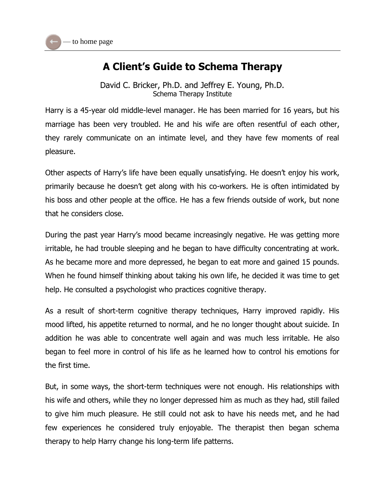

# **A Client's Guide to Schema Therapy**

David C. Bricker, Ph.D. and Jeffrey E. Young, Ph.D. Schema Therapy Institute

Harry is a 45-year old middle-level manager. He has been married for 16 years, but his marriage has been very troubled. He and his wife are often resentful of each other, they rarely communicate on an intimate level, and they have few moments of real pleasure.

Other aspects of Harry's life have been equally unsatisfying. He doesn't enjoy his work, primarily because he doesn't get along with his co-workers. He is often intimidated by his boss and other people at the office. He has a few friends outside of work, but none that he considers close.

During the past year Harry's mood became increasingly negative. He was getting more irritable, he had trouble sleeping and he began to have difficulty concentrating at work. As he became more and more depressed, he began to eat more and gained 15 pounds. When he found himself thinking about taking his own life, he decided it was time to get help. He consulted a psychologist who practices cognitive therapy.

As a result of short-term cognitive therapy techniques, Harry improved rapidly. His mood lifted, his appetite returned to normal, and he no longer thought about suicide. In addition he was able to concentrate well again and was much less irritable. He also began to feel more in control of his life as he learned how to control his emotions for the first time.

But, in some ways, the short-term techniques were not enough. His relationships with his wife and others, while they no longer depressed him as much as they had, still failed to give him much pleasure. He still could not ask to have his needs met, and he had few experiences he considered truly enjoyable. The therapist then began schema therapy to help Harry change his long-term life patterns.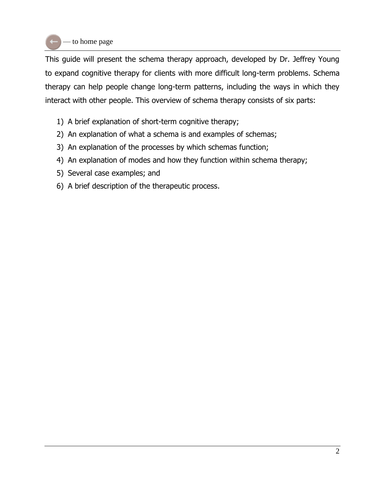

This guide will present the schema therapy approach, developed by Dr. Jeffrey Young to expand cognitive therapy for clients with more difficult long-term problems. Schema therapy can help people change long-term patterns, including the ways in which they interact with other people. This overview of schema therapy consists of six parts:

- 1) A brief explanation of short-term cognitive therapy;
- 2) An explanation of what a schema is and examples of schemas;
- 3) An explanation of the processes by which schemas function;
- 4) An explanation of modes and how they function within schema therapy;
- 5) Several case examples; and
- 6) A brief description of the therapeutic process.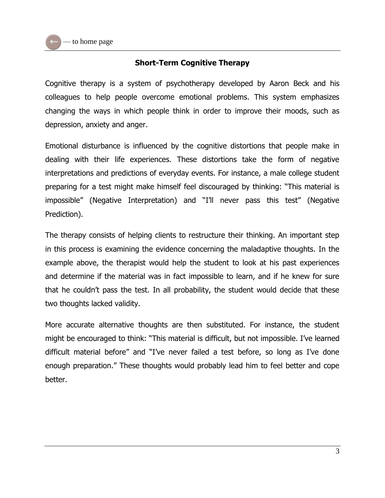

## **Short-Term Cognitive Therapy**

Cognitive therapy is a system of psychotherapy developed by Aaron Beck and his colleagues to help people overcome emotional problems. This system emphasizes changing the ways in which people think in order to improve their moods, such as depression, anxiety and anger.

Emotional disturbance is influenced by the cognitive distortions that people make in dealing with their life experiences. These distortions take the form of negative interpretations and predictions of everyday events. For instance, a male college student preparing for a test might make himself feel discouraged by thinking: "This material is impossible" (Negative Interpretation) and "I'll never pass this test" (Negative Prediction).

The therapy consists of helping clients to restructure their thinking. An important step in this process is examining the evidence concerning the maladaptive thoughts. In the example above, the therapist would help the student to look at his past experiences and determine if the material was in fact impossible to learn, and if he knew for sure that he couldn't pass the test. In all probability, the student would decide that these two thoughts lacked validity.

More accurate alternative thoughts are then substituted. For instance, the student might be encouraged to think: "This material is difficult, but not impossible. I've learned difficult material before" and "I've never failed a test before, so long as I've done enough preparation." These thoughts would probably lead him to feel better and cope better.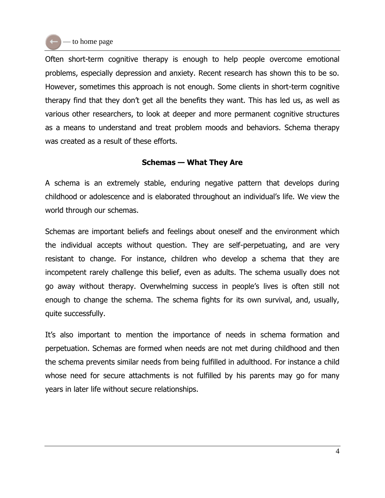

Often short-term cognitive therapy is enough to help people overcome emotional problems, especially depression and anxiety. Recent research has shown this to be so. However, sometimes this approach is not enough. Some clients in short-term cognitive therapy find that they don't get all the benefits they want. This has led us, as well as various other researchers, to look at deeper and more permanent cognitive structures as a means to understand and treat problem moods and behaviors. Schema therapy was created as a result of these efforts.

#### **Schemas — What They Are**

A schema is an extremely stable, enduring negative pattern that develops during childhood or adolescence and is elaborated throughout an individual's life. We view the world through our schemas.

Schemas are important beliefs and feelings about oneself and the environment which the individual accepts without question. They are self-perpetuating, and are very resistant to change. For instance, children who develop a schema that they are incompetent rarely challenge this belief, even as adults. The schema usually does not go away without therapy. Overwhelming success in people's lives is often still not enough to change the schema. The schema fights for its own survival, and, usually, quite successfully.

It's also important to mention the importance of needs in schema formation and perpetuation. Schemas are formed when needs are not met during childhood and then the schema prevents similar needs from being fulfilled in adulthood. For instance a child whose need for secure attachments is not fulfilled by his parents may go for many years in later life without secure relationships.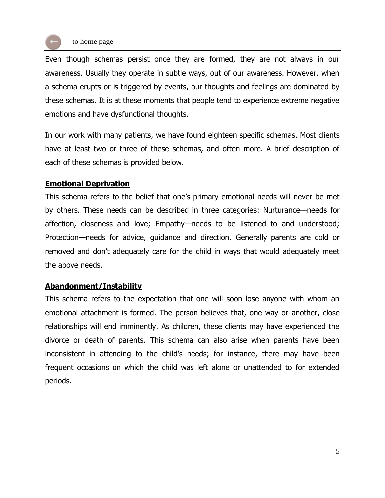

Even though schemas persist once they are formed, they are not always in our awareness. Usually they operate in subtle ways, out of our awareness. However, when a schema erupts or is triggered by events, our thoughts and feelings are dominated by these schemas. It is at these moments that people tend to experience extreme negative emotions and have dysfunctional thoughts.

In our work with many patients, we have found eighteen specific schemas. Most clients have at least two or three of these schemas, and often more. A brief description of each of these schemas is provided below.

#### <span id="page-4-2"></span>**Emotional Deprivation**

This schema refers to the belief that one's primary emotional needs will never be met by others. These needs can be described in three categories: Nurturance—needs for affection, closeness and love; Empathy—needs to be listened to and understood; Protection—needs for advice, guidance and direction. Generally parents are cold or removed and don't adequately care for the child in ways that would adequately meet the above needs.

#### <span id="page-4-1"></span>**Abandonment/Instability**

<span id="page-4-0"></span>This schema refers to the expectation that one will soon lose anyone with whom an emotional attachment is formed. The person believes that, one way or another, close relationships will end imminently. As children, these clients may have experienced the divorce or death of parents. This schema can also arise when parents have been inconsistent in attending to the child's needs; for instance, there may have been frequent occasions on which the child was left alone or unattended to for extended periods.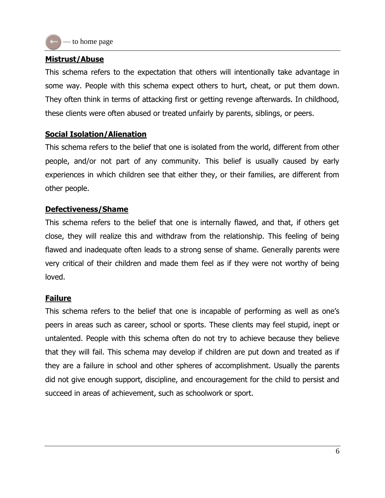

## **Mistrust/Abuse**

This schema refers to the expectation that others will intentionally take advantage in some way. People with this schema expect others to hurt, cheat, or put them down. They often think in terms of attacking first or getting revenge afterwards. In childhood, these clients were often abused or treated unfairly by parents, siblings, or peers.

#### <span id="page-5-3"></span>**Social Isolation/Alienation**

This schema refers to the belief that one is isolated from the world, different from other people, and/or not part of any community. This belief is usually caused by early experiences in which children see that either they, or their families, are different from other people.

## <span id="page-5-1"></span>**Defectiveness/Shame**

This schema refers to the belief that one is internally flawed, and that, if others get close, they will realize this and withdraw from the relationship. This feeling of being flawed and inadequate often leads to a strong sense of shame. Generally parents were very critical of their children and made them feel as if they were not worthy of being loved.

#### <span id="page-5-0"></span>**Failure**

<span id="page-5-2"></span>This schema refers to the belief that one is incapable of performing as well as one's peers in areas such as career, school or sports. These clients may feel stupid, inept or untalented. People with this schema often do not try to achieve because they believe that they will fail. This schema may develop if children are put down and treated as if they are a failure in school and other spheres of accomplishment. Usually the parents did not give enough support, discipline, and encouragement for the child to persist and succeed in areas of achievement, such as schoolwork or sport.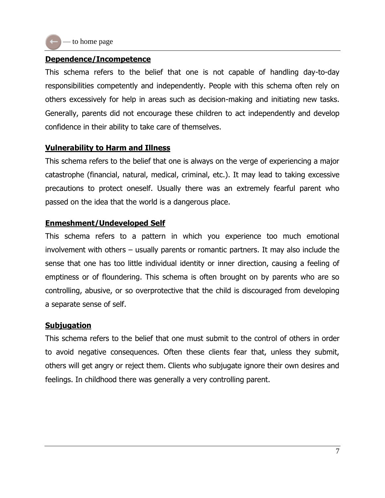

to home page

#### **Dependence/Incompetence**

This schema refers to the belief that one is not capable of handling day-to-day responsibilities competently and independently. People with this schema often rely on others excessively for help in areas such as decision-making and initiating new tasks. Generally, parents did not encourage these children to act independently and develop confidence in their ability to take care of themselves.

## **Vulnerability to Harm and Illness**

This schema refers to the belief that one is always on the verge of experiencing a major catastrophe (financial, natural, medical, criminal, etc.). It may lead to taking excessive precautions to protect oneself. Usually there was an extremely fearful parent who passed on the idea that the world is a dangerous place.

#### **Enmeshment/Undeveloped Self**

This schema refers to a pattern in which you experience too much emotional involvement with others – usually parents or romantic partners. It may also include the sense that one has too little individual identity or inner direction, causing a feeling of emptiness or of floundering. This schema is often brought on by parents who are so controlling, abusive, or so overprotective that the child is discouraged from developing a separate sense of self.

#### <span id="page-6-0"></span>**Subjugation**

<span id="page-6-1"></span>This schema refers to the belief that one must submit to the control of others in order to avoid negative consequences. Often these clients fear that, unless they submit, others will get angry or reject them. Clients who subjugate ignore their own desires and feelings. In childhood there was generally a very controlling parent.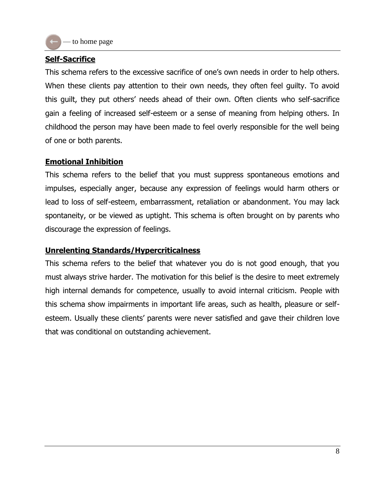

## **Self-Sacrifice**

This schema refers to the excessive sacrifice of one's own needs in order to help others. When these clients pay attention to their own needs, they often feel guilty. To avoid this guilt, they put others' needs ahead of their own. Often clients who self-sacrifice gain a feeling of increased self-esteem or a sense of meaning from helping others. In childhood the person may have been made to feel overly responsible for the well being of one or both parents.

## **Emotional Inhibition**

This schema refers to the belief that you must suppress spontaneous emotions and impulses, especially anger, because any expression of feelings would harm others or lead to loss of self-esteem, embarrassment, retaliation or abandonment. You may lack spontaneity, or be viewed as uptight. This schema is often brought on by parents who discourage the expression of feelings.

## **Unrelenting Standards/Hypercriticalness**

This schema refers to the belief that whatever you do is not good enough, that you must always strive harder. The motivation for this belief is the desire to meet extremely high internal demands for competence, usually to avoid internal criticism. People with this schema show impairments in important life areas, such as health, pleasure or selfesteem. Usually these clients' parents were never satisfied and gave their children love that was conditional on outstanding achievement.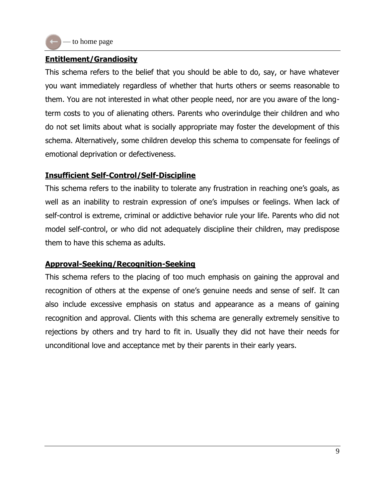

to home page

## **Entitlement/Grandiosity**

This schema refers to the belief that you should be able to do, say, or have whatever you want immediately regardless of whether that hurts others or seems reasonable to them. You are not interested in what other people need, nor are you aware of the longterm costs to you of alienating others. Parents who overindulge their children and who do not set limits about what is socially appropriate may foster the development of this schema. Alternatively, some children develop this schema to compensate for feelings of emotional deprivation or defectiveness.

## **Insufficient Self-Control/Self-Discipline**

This schema refers to the inability to tolerate any frustration in reaching one's goals, as well as an inability to restrain expression of one's impulses or feelings. When lack of self-control is extreme, criminal or addictive behavior rule your life. Parents who did not model self-control, or who did not adequately discipline their children, may predispose them to have this schema as adults.

# **Approval-Seeking/Recognition-Seeking**

This schema refers to the placing of too much emphasis on gaining the approval and recognition of others at the expense of one's genuine needs and sense of self. It can also include excessive emphasis on status and appearance as a means of gaining recognition and approval. Clients with this schema are generally extremely sensitive to rejections by others and try hard to fit in. Usually they did not have their needs for unconditional love and acceptance met by their parents in their early years.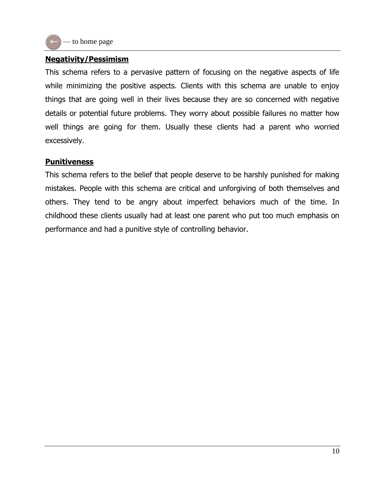

to home page

## **Negativity/Pessimism**

This schema refers to a pervasive pattern of focusing on the negative aspects of life while minimizing the positive aspects. Clients with this schema are unable to enjoy things that are going well in their lives because they are so concerned with negative details or potential future problems. They worry about possible failures no matter how well things are going for them. Usually these clients had a parent who worried excessively.

#### **Punitiveness**

This schema refers to the belief that people deserve to be harshly punished for making mistakes. People with this schema are critical and unforgiving of both themselves and others. They tend to be angry about imperfect behaviors much of the time. In childhood these clients usually had at least one parent who put too much emphasis on performance and had a punitive style of controlling behavior.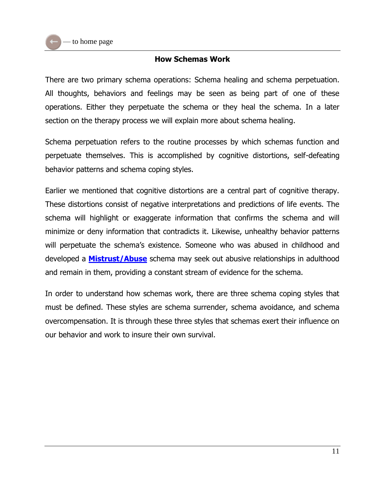

## **How Schemas Work**

There are two primary schema operations: Schema healing and schema perpetuation. All thoughts, behaviors and feelings may be seen as being part of one of these operations. Either they perpetuate the schema or they heal the schema. In a later section on the therapy process we will explain more about schema healing.

Schema perpetuation refers to the routine processes by which schemas function and perpetuate themselves. This is accomplished by cognitive distortions, self-defeating behavior patterns and schema coping styles.

Earlier we mentioned that cognitive distortions are a central part of cognitive therapy. These distortions consist of negative interpretations and predictions of life events. The schema will highlight or exaggerate information that confirms the schema and will minimize or deny information that contradicts it. Likewise, unhealthy behavior patterns will perpetuate the schema's existence. Someone who was abused in childhood and developed a **[Mistrust/Abuse](#page-4-0)** schema may seek out abusive relationships in adulthood and remain in them, providing a constant stream of evidence for the schema.

In order to understand how schemas work, there are three schema coping styles that must be defined. These styles are schema surrender, schema avoidance, and schema overcompensation. It is through these three styles that schemas exert their influence on our behavior and work to insure their own survival.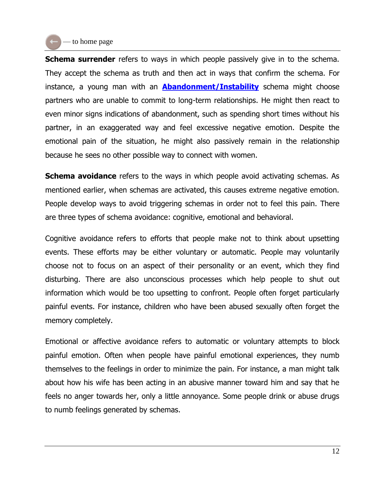

**Schema surrender** refers to ways in which people passively give in to the schema. They accept the schema as truth and then act in ways that confirm the schema. For instance, a young man with an **[Abandonment/Instability](#page-4-1)** schema might choose partners who are unable to commit to long-term relationships. He might then react to even minor signs indications of abandonment, such as spending short times without his partner, in an exaggerated way and feel excessive negative emotion. Despite the emotional pain of the situation, he might also passively remain in the relationship because he sees no other possible way to connect with women.

**Schema avoidance** refers to the ways in which people avoid activating schemas. As mentioned earlier, when schemas are activated, this causes extreme negative emotion. People develop ways to avoid triggering schemas in order not to feel this pain. There are three types of schema avoidance: cognitive, emotional and behavioral.

Cognitive avoidance refers to efforts that people make not to think about upsetting events. These efforts may be either voluntary or automatic. People may voluntarily choose not to focus on an aspect of their personality or an event, which they find disturbing. There are also unconscious processes which help people to shut out information which would be too upsetting to confront. People often forget particularly painful events. For instance, children who have been abused sexually often forget the memory completely.

Emotional or affective avoidance refers to automatic or voluntary attempts to block painful emotion. Often when people have painful emotional experiences, they numb themselves to the feelings in order to minimize the pain. For instance, a man might talk about how his wife has been acting in an abusive manner toward him and say that he feels no anger towards her, only a little annoyance. Some people drink or abuse drugs to numb feelings generated by schemas.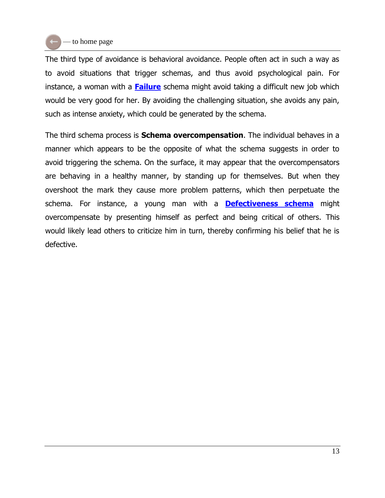

The third type of avoidance is behavioral avoidance. People often act in such a way as to avoid situations that trigger schemas, and thus avoid psychological pain. For instance, a woman with a **[Failure](#page-5-0)** schema might avoid taking a difficult new job which would be very good for her. By avoiding the challenging situation, she avoids any pain, such as intense anxiety, which could be generated by the schema.

The third schema process is **Schema overcompensation**. The individual behaves in a manner which appears to be the opposite of what the schema suggests in order to avoid triggering the schema. On the surface, it may appear that the overcompensators are behaving in a healthy manner, by standing up for themselves. But when they overshoot the mark they cause more problem patterns, which then perpetuate the schema. For instance, a young man with a **[Defectiveness schema](#page-5-1)** might overcompensate by presenting himself as perfect and being critical of others. This would likely lead others to criticize him in turn, thereby confirming his belief that he is defective.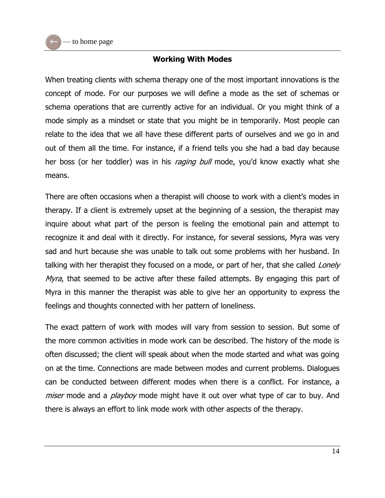

#### **Working With Modes**

When treating clients with schema therapy one of the most important innovations is the concept of mode. For our purposes we will define a mode as the set of schemas or schema operations that are currently active for an individual. Or you might think of a mode simply as a mindset or state that you might be in temporarily. Most people can relate to the idea that we all have these different parts of ourselves and we go in and out of them all the time. For instance, if a friend tells you she had a bad day because her boss (or her toddler) was in his *raging bull* mode, you'd know exactly what she means.

There are often occasions when a therapist will choose to work with a client's modes in therapy. If a client is extremely upset at the beginning of a session, the therapist may inquire about what part of the person is feeling the emotional pain and attempt to recognize it and deal with it directly. For instance, for several sessions, Myra was very sad and hurt because she was unable to talk out some problems with her husband. In talking with her therapist they focused on a mode, or part of her, that she called *Lonely Myra*, that seemed to be active after these failed attempts. By engaging this part of Myra in this manner the therapist was able to give her an opportunity to express the feelings and thoughts connected with her pattern of loneliness.

The exact pattern of work with modes will vary from session to session. But some of the more common activities in mode work can be described. The history of the mode is often discussed; the client will speak about when the mode started and what was going on at the time. Connections are made between modes and current problems. Dialogues can be conducted between different modes when there is a conflict. For instance, a *miser* mode and a *playboy* mode might have it out over what type of car to buy. And there is always an effort to link mode work with other aspects of the therapy.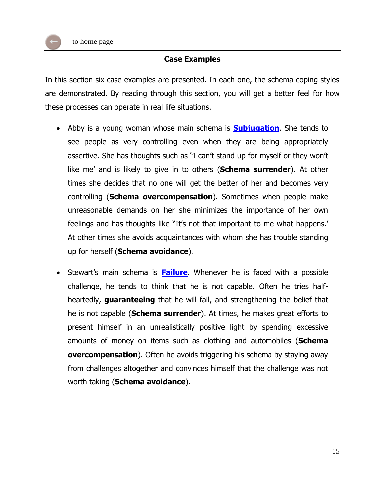

## **Case Examples**

In this section six case examples are presented. In each one, the schema coping styles are demonstrated. By reading through this section, you will get a better feel for how these processes can operate in real life situations.

- Abby is a young woman whose main schema is **[Subjugation](#page-6-0)**. She tends to see people as very controlling even when they are being appropriately assertive. She has thoughts such as "I can't stand up for myself or they won't like me' and is likely to give in to others (**Schema surrender**). At other times she decides that no one will get the better of her and becomes very controlling (**Schema overcompensation**). Sometimes when people make unreasonable demands on her she minimizes the importance of her own feelings and has thoughts like "It's not that important to me what happens.' At other times she avoids acquaintances with whom she has trouble standing up for herself (**Schema avoidance**).
- Stewart's main schema is **[Failure](#page-5-0)**. Whenever he is faced with a possible challenge, he tends to think that he is not capable. Often he tries halfheartedly, **guaranteeing** that he will fail, and strengthening the belief that he is not capable (**Schema surrender**). At times, he makes great efforts to present himself in an unrealistically positive light by spending excessive amounts of money on items such as clothing and automobiles (**Schema overcompensation**). Often he avoids triggering his schema by staying away from challenges altogether and convinces himself that the challenge was not worth taking (**Schema avoidance**).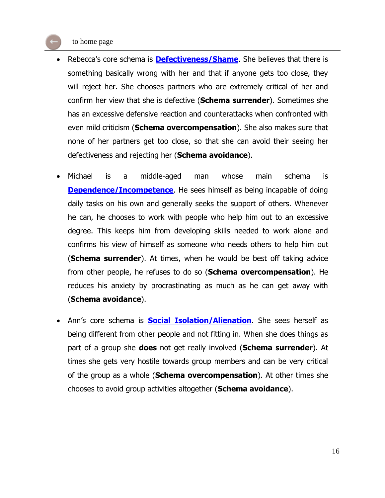

- Rebecca's core schema is **[Defectiveness/Shame](#page-5-1)**. She believes that there is something basically wrong with her and that if anyone gets too close, they will reject her. She chooses partners who are extremely critical of her and confirm her view that she is defective (**Schema surrender**). Sometimes she has an excessive defensive reaction and counterattacks when confronted with even mild criticism (**Schema overcompensation**). She also makes sure that none of her partners get too close, so that she can avoid their seeing her defectiveness and rejecting her (**Schema avoidance**).
- Michael is a middle-aged man whose main schema is **[Dependence/Incompetence](#page-5-2)**. He sees himself as being incapable of doing daily tasks on his own and generally seeks the support of others. Whenever he can, he chooses to work with people who help him out to an excessive degree. This keeps him from developing skills needed to work alone and confirms his view of himself as someone who needs others to help him out (**Schema surrender**). At times, when he would be best off taking advice from other people, he refuses to do so (**Schema overcompensation**). He reduces his anxiety by procrastinating as much as he can get away with (**Schema avoidance**).
- Ann's core schema is **[Social Isolation/Alienation](#page-5-3)**. She sees herself as being different from other people and not fitting in. When she does things as part of a group she **does** not get really involved (**Schema surrender**). At times she gets very hostile towards group members and can be very critical of the group as a whole (**Schema overcompensation**). At other times she chooses to avoid group activities altogether (**Schema avoidance**).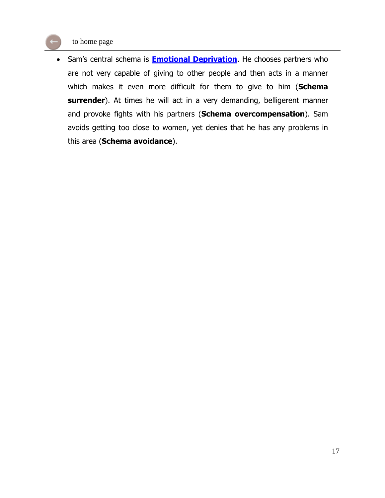

• Sam's central schema is **[Emotional Deprivation](#page-4-2)**. He chooses partners who are not very capable of giving to other people and then acts in a manner which makes it even more difficult for them to give to him (**Schema surrender**). At times he will act in a very demanding, belligerent manner and provoke fights with his partners (**Schema overcompensation**). Sam avoids getting too close to women, yet denies that he has any problems in this area (**Schema avoidance**).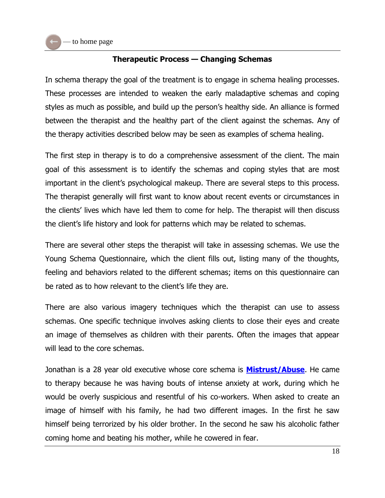

#### **Therapeutic Process — Changing Schemas**

In schema therapy the goal of the treatment is to engage in schema healing processes. These processes are intended to weaken the early maladaptive schemas and coping styles as much as possible, and build up the person's healthy side. An alliance is formed between the therapist and the healthy part of the client against the schemas. Any of the therapy activities described below may be seen as examples of schema healing.

The first step in therapy is to do a comprehensive assessment of the client. The main goal of this assessment is to identify the schemas and coping styles that are most important in the client's psychological makeup. There are several steps to this process. The therapist generally will first want to know about recent events or circumstances in the clients' lives which have led them to come for help. The therapist will then discuss the client's life history and look for patterns which may be related to schemas.

There are several other steps the therapist will take in assessing schemas. We use the Young Schema Questionnaire, which the client fills out, listing many of the thoughts, feeling and behaviors related to the different schemas; items on this questionnaire can be rated as to how relevant to the client's life they are.

There are also various imagery techniques which the therapist can use to assess schemas. One specific technique involves asking clients to close their eyes and create an image of themselves as children with their parents. Often the images that appear will lead to the core schemas.

Jonathan is a 28 year old executive whose core schema is **[Mistrust/Abuse](#page-4-0)**. He came to therapy because he was having bouts of intense anxiety at work, during which he would be overly suspicious and resentful of his co-workers. When asked to create an image of himself with his family, he had two different images. In the first he saw himself being terrorized by his older brother. In the second he saw his alcoholic father coming home and beating his mother, while he cowered in fear.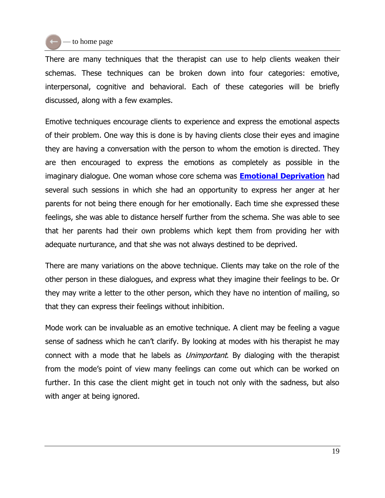

There are many techniques that the therapist can use to help clients weaken their schemas. These techniques can be broken down into four categories: emotive, interpersonal, cognitive and behavioral. Each of these categories will be briefly discussed, along with a few examples.

Emotive techniques encourage clients to experience and express the emotional aspects of their problem. One way this is done is by having clients close their eyes and imagine they are having a conversation with the person to whom the emotion is directed. They are then encouraged to express the emotions as completely as possible in the imaginary dialogue. One woman whose core schema was **[Emotional Deprivation](#page-4-2)** had several such sessions in which she had an opportunity to express her anger at her parents for not being there enough for her emotionally. Each time she expressed these feelings, she was able to distance herself further from the schema. She was able to see that her parents had their own problems which kept them from providing her with adequate nurturance, and that she was not always destined to be deprived.

There are many variations on the above technique. Clients may take on the role of the other person in these dialogues, and express what they imagine their feelings to be. Or they may write a letter to the other person, which they have no intention of mailing, so that they can express their feelings without inhibition.

Mode work can be invaluable as an emotive technique. A client may be feeling a vague sense of sadness which he can't clarify. By looking at modes with his therapist he may connect with a mode that he labels as *Unimportant*. By dialoging with the therapist from the mode's point of view many feelings can come out which can be worked on further. In this case the client might get in touch not only with the sadness, but also with anger at being ignored.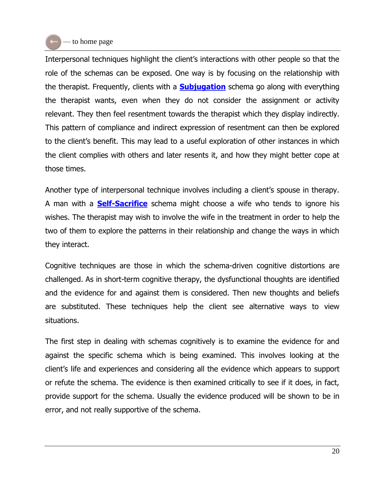

Interpersonal techniques highlight the client's interactions with other people so that the role of the schemas can be exposed. One way is by focusing on the relationship with the therapist. Frequently, clients with a **[Subjugation](#page-6-0)** schema go along with everything the therapist wants, even when they do not consider the assignment or activity relevant. They then feel resentment towards the therapist which they display indirectly. This pattern of compliance and indirect expression of resentment can then be explored to the client's benefit. This may lead to a useful exploration of other instances in which the client complies with others and later resents it, and how they might better cope at those times.

Another type of interpersonal technique involves including a client's spouse in therapy. A man with a **[Self-Sacrifice](#page-6-1)** schema might choose a wife who tends to ignore his wishes. The therapist may wish to involve the wife in the treatment in order to help the two of them to explore the patterns in their relationship and change the ways in which they interact.

Cognitive techniques are those in which the schema-driven cognitive distortions are challenged. As in short-term cognitive therapy, the dysfunctional thoughts are identified and the evidence for and against them is considered. Then new thoughts and beliefs are substituted. These techniques help the client see alternative ways to view situations.

The first step in dealing with schemas cognitively is to examine the evidence for and against the specific schema which is being examined. This involves looking at the client's life and experiences and considering all the evidence which appears to support or refute the schema. The evidence is then examined critically to see if it does, in fact, provide support for the schema. Usually the evidence produced will be shown to be in error, and not really supportive of the schema.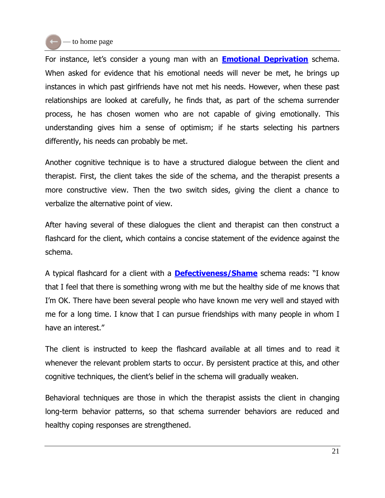

For instance, let's consider a young man with an **[Emotional Deprivation](#page-4-2)** schema. When asked for evidence that his emotional needs will never be met, he brings up instances in which past girlfriends have not met his needs. However, when these past relationships are looked at carefully, he finds that, as part of the schema surrender process, he has chosen women who are not capable of giving emotionally. This understanding gives him a sense of optimism; if he starts selecting his partners differently, his needs can probably be met.

Another cognitive technique is to have a structured dialogue between the client and therapist. First, the client takes the side of the schema, and the therapist presents a more constructive view. Then the two switch sides, giving the client a chance to verbalize the alternative point of view.

After having several of these dialogues the client and therapist can then construct a flashcard for the client, which contains a concise statement of the evidence against the schema.

A typical flashcard for a client with a **[Defectiveness/Shame](#page-5-1)** schema reads: "I know that I feel that there is something wrong with me but the healthy side of me knows that I'm OK. There have been several people who have known me very well and stayed with me for a long time. I know that I can pursue friendships with many people in whom I have an interest."

The client is instructed to keep the flashcard available at all times and to read it whenever the relevant problem starts to occur. By persistent practice at this, and other cognitive techniques, the client's belief in the schema will gradually weaken.

Behavioral techniques are those in which the therapist assists the client in changing long-term behavior patterns, so that schema surrender behaviors are reduced and healthy coping responses are strengthened.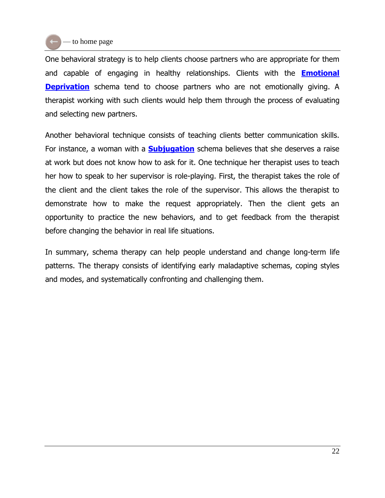

One behavioral strategy is to help clients choose partners who are appropriate for them and capable of engaging in healthy relationships. Clients with the **[Emotional](#page-4-2)  [Deprivation](#page-4-2)** schema tend to choose partners who are not emotionally giving. A therapist working with such clients would help them through the process of evaluating and selecting new partners.

Another behavioral technique consists of teaching clients better communication skills. For instance, a woman with a **[Subjugation](#page-6-0)** schema believes that she deserves a raise at work but does not know how to ask for it. One technique her therapist uses to teach her how to speak to her supervisor is role-playing. First, the therapist takes the role of the client and the client takes the role of the supervisor. This allows the therapist to demonstrate how to make the request appropriately. Then the client gets an opportunity to practice the new behaviors, and to get feedback from the therapist before changing the behavior in real life situations.

In summary, schema therapy can help people understand and change long-term life patterns. The therapy consists of identifying early maladaptive schemas, coping styles and modes, and systematically confronting and challenging them.